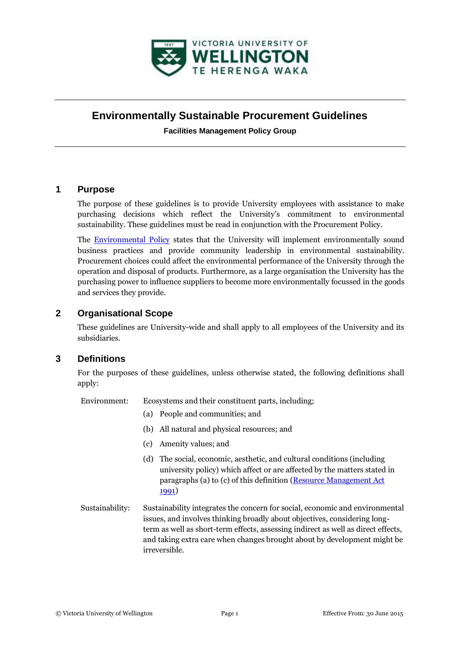

# **Environmentally Sustainable Procurement Guidelines**

**Facilities Management Policy Group**

# **1 Purpose**

The purpose of these guidelines is to provide University employees with assistance to make purchasing decisions which reflect the University's commitment to environmental sustainability. These guidelines must be read in conjunction with the Procurement Policy.

The [Environmental Policy](http://www.victoria.ac.nz/documents/policy/facilities-management/environmental-policy.pdf) states that the University will implement environmentally sound business practices and provide community leadership in environmental sustainability. Procurement choices could affect the environmental performance of the University through the operation and disposal of products. Furthermore, as a large organisation the University has the purchasing power to influence suppliers to become more environmentally focussed in the goods and services they provide.

# **2 Organisational Scope**

These guidelines are University-wide and shall apply to all employees of the University and its subsidiaries.

# **3 Definitions**

For the purposes of these guidelines, unless otherwise stated, the following definitions shall apply:

Environment: Ecosystems and their constituent parts, including;

- (a) People and communities; and
- (b) All natural and physical resources; and
- (c) Amenity values; and
- (d) The social, economic, aesthetic, and cultural conditions (including university policy) which affect or are affected by the matters stated in paragraphs (a) to (c) of this definition [\(Resource Management Act](http://www.legislation.govt.nz/)  [1991\)](http://www.legislation.govt.nz/)
- Sustainability: Sustainability integrates the concern for social, economic and environmental issues, and involves thinking broadly about objectives, considering longterm as well as short-term effects, assessing indirect as well as direct effects, and taking extra care when changes brought about by development might be irreversible.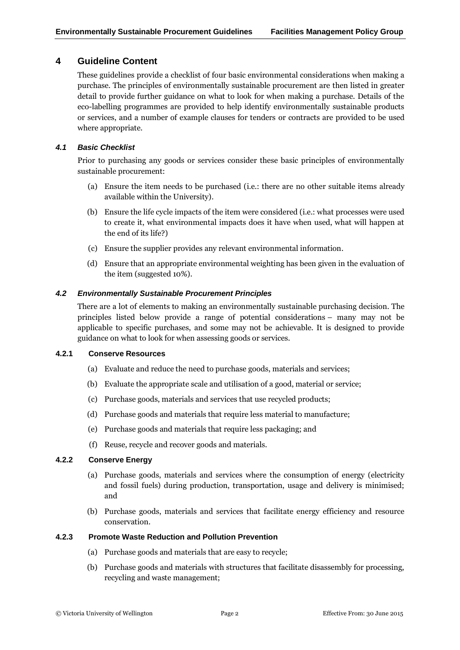# **4 Guideline Content**

These guidelines provide a checklist of four basic environmental considerations when making a purchase. The principles of environmentally sustainable procurement are then listed in greater detail to provide further guidance on what to look for when making a purchase. Details of the eco-labelling programmes are provided to help identify environmentally sustainable products or services, and a number of example clauses for tenders or contracts are provided to be used where appropriate.

### *4.1 Basic Checklist*

Prior to purchasing any goods or services consider these basic principles of environmentally sustainable procurement:

- (a) Ensure the item needs to be purchased (i.e.: there are no other suitable items already available within the University).
- (b) Ensure the life cycle impacts of the item were considered (i.e.: what processes were used to create it, what environmental impacts does it have when used, what will happen at the end of its life?)
- (c) Ensure the supplier provides any relevant environmental information.
- (d) Ensure that an appropriate environmental weighting has been given in the evaluation of the item (suggested 10%).

#### *4.2 Environmentally Sustainable Procurement Principles*

There are a lot of elements to making an environmentally sustainable purchasing decision. The principles listed below provide a range of potential considerations – many may not be applicable to specific purchases, and some may not be achievable. It is designed to provide guidance on what to look for when assessing goods or services.

#### **4.2.1 Conserve Resources**

- (a) Evaluate and reduce the need to purchase goods, materials and services;
- (b) Evaluate the appropriate scale and utilisation of a good, material or service;
- (c) Purchase goods, materials and services that use recycled products;
- (d) Purchase goods and materials that require less material to manufacture;
- (e) Purchase goods and materials that require less packaging; and
- (f) Reuse, recycle and recover goods and materials.

#### **4.2.2 Conserve Energy**

- (a) Purchase goods, materials and services where the consumption of energy (electricity and fossil fuels) during production, transportation, usage and delivery is minimised; and
- (b) Purchase goods, materials and services that facilitate energy efficiency and resource conservation.

#### **4.2.3 Promote Waste Reduction and Pollution Prevention**

- (a) Purchase goods and materials that are easy to recycle;
- (b) Purchase goods and materials with structures that facilitate disassembly for processing, recycling and waste management;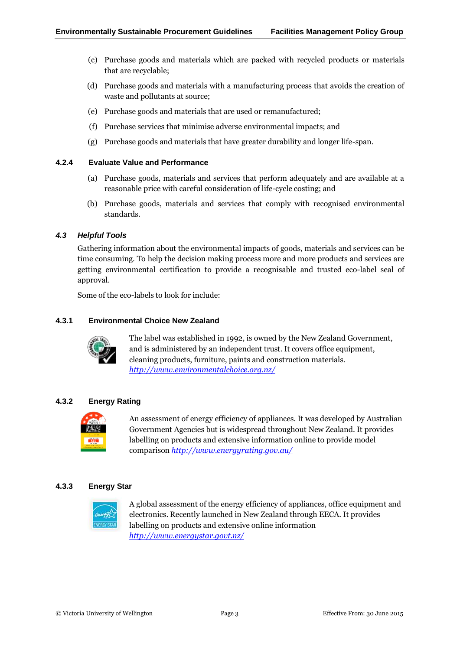- (c) Purchase goods and materials which are packed with recycled products or materials that are recyclable;
- (d) Purchase goods and materials with a manufacturing process that avoids the creation of waste and pollutants at source;
- (e) Purchase goods and materials that are used or remanufactured;
- (f) Purchase services that minimise adverse environmental impacts; and
- (g) Purchase goods and materials that have greater durability and longer life-span.

#### **4.2.4 Evaluate Value and Performance**

- (a) Purchase goods, materials and services that perform adequately and are available at a reasonable price with careful consideration of life-cycle costing; and
- (b) Purchase goods, materials and services that comply with recognised environmental standards.

### *4.3 Helpful Tools*

Gathering information about the environmental impacts of goods, materials and services can be time consuming. To help the decision making process more and more products and services are getting environmental certification to provide a recognisable and trusted eco-label seal of approval.

Some of the eco-labels to look for include:

#### **4.3.1 Environmental Choice New Zealand**



The label was established in 1992, is owned by the New Zealand Government, and is administered by an independent trust. It covers office equipment, cleaning products, furniture, paints and construction materials. *<http://www.environmentalchoice.org.nz/>*

## **4.3.2 Energy Rating**



An assessment of energy efficiency of appliances. It was developed by Australian Government Agencies but is widespread throughout New Zealand. It provides labelling on products and extensive information online to provide model comparison *<http://www.energyrating.gov.au/>*

#### **4.3.3 Energy Star**



A global assessment of the energy efficiency of appliances, office equipment and electronics. Recently launched in New Zealand through EECA. It provides labelling on products and extensive online information *<http://www.energystar.govt.nz/>*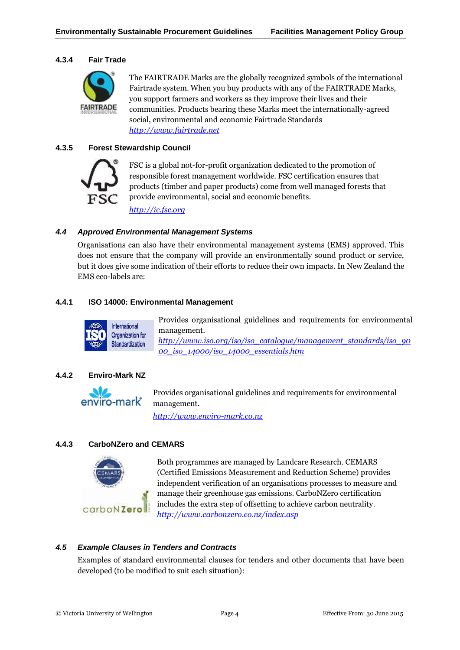#### **4.3.4 Fair Trade**



The FAIRTRADE Marks are the globally recognized symbols of the international Fairtrade system. When you buy products with any of the FAIRTRADE Marks, you support farmers and workers as they improve their lives and their communities. Products bearing these Marks meet the internationally-agreed social, environmental and economic Fairtrade Standards *[http://www.fairtrade.net](http://www.fairtrade.net/)*

#### **4.3.5 Forest Stewardship Council**



FSC is a global not-for-profit organization dedicated to the promotion of responsible forest management worldwide. FSC certification ensures that products (timber and paper products) come from well managed forests that provide environmental, social and economic benefits.

*[http://ic.fsc.org](http://ic.fsc.org/)*

#### *4.4 Approved Environmental Management Systems*

Organisations can also have their environmental management systems (EMS) approved. This does not ensure that the company will provide an environmentally sound product or service, but it does give some indication of their efforts to reduce their own impacts. In New Zealand the EMS eco-labels are:

#### **4.4.1 ISO 14000: Environmental Management**



Provides organisational guidelines and requirements for environmental management. *[http://www.iso.org/iso/iso\\_catalogue/management\\_standards/iso\\_90](http://www.iso.org/iso/iso_catalogue/management_standards/iso_9000_iso_14000/iso_14000_essentials.htm) [00\\_iso\\_14000/iso\\_14000\\_essentials.htm](http://www.iso.org/iso/iso_catalogue/management_standards/iso_9000_iso_14000/iso_14000_essentials.htm)*

#### **4.4.2 Enviro-Mark NZ**



[P](http://www.enviro-mark.co.nz/)rovides organisational guidelines and requirements for environmental management.

*[http://www.enviro-mark.co.nz](http://www.enviro-mark.co.nz/)*

#### **4.4.3 CarboNZero and CEMARS**



Both programmes are managed by Landcare Research. CEMARS (Certified Emissions Measurement and Reduction Scheme) provides independent verification of an organisations processes to measure and manage their greenhouse gas emissions. CarboNZero certification includes the extra step of offsetting to achieve carbon neutrality. *<http://www.carbonzero.co.nz/index.asp>*

#### *4.5 Example Clauses in Tenders and Contracts*

Examples of standard environmental clauses for tenders and other documents that have been developed (to be modified to suit each situation):